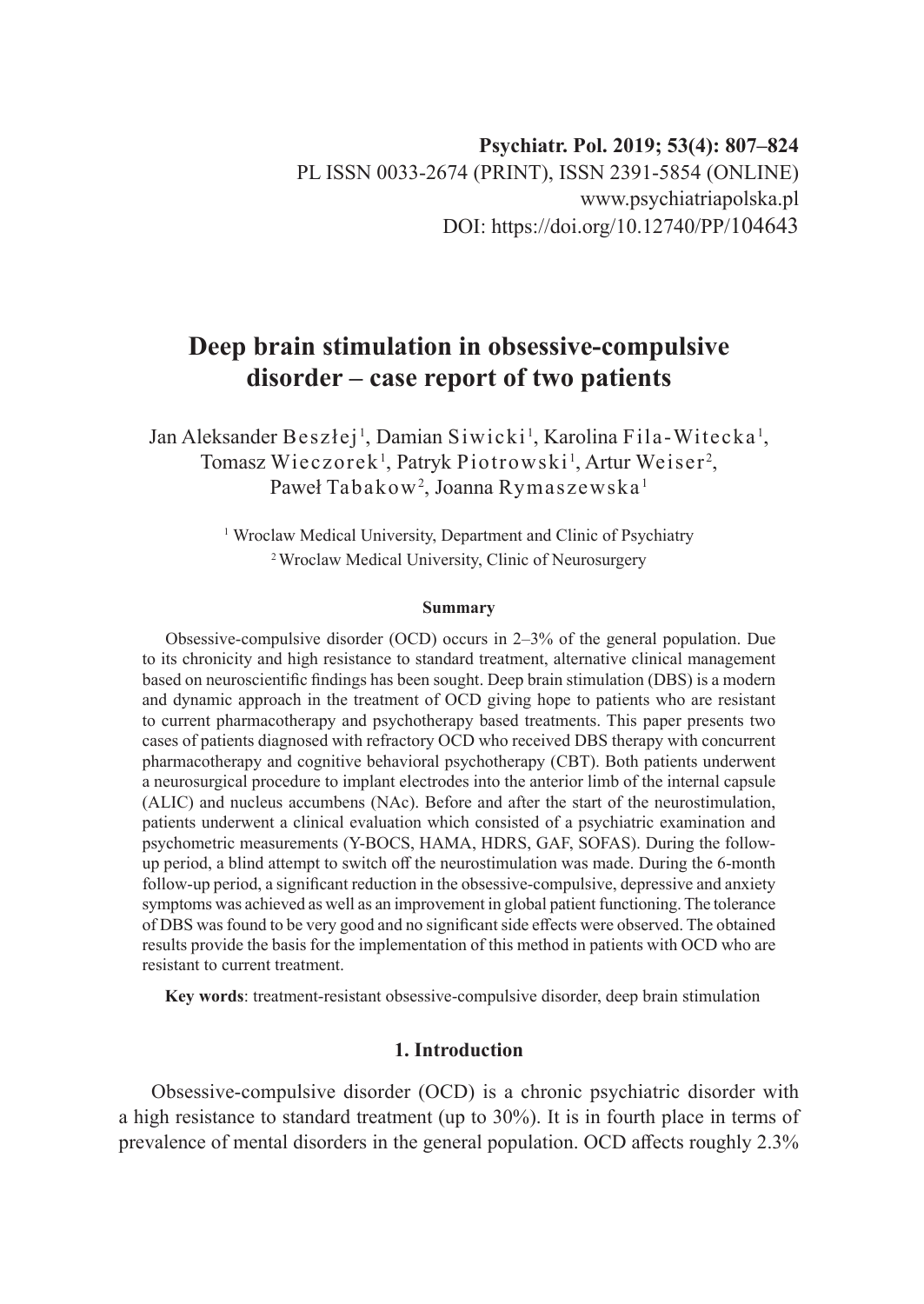# **Deep brain stimulation in obsessive-compulsive disorder – case report of two patients**

Jan Aleksander Beszłej<sup>1</sup>, Damian Siwicki<sup>1</sup>, Karolina Fila-Witecka<sup>1</sup>, Tomasz Wieczorek<sup>1</sup>, Patryk Piotrowski<sup>1</sup>, Artur Weiser<sup>2</sup>, Paweł Tabakow<sup>2</sup>, Joanna Rymaszewska <sup>1</sup>

> <sup>1</sup> Wroclaw Medical University, Department and Clinic of Psychiatry 2 Wroclaw Medical University, Clinic of Neurosurgery

#### **Summary**

Obsessive-compulsive disorder (OCD) occurs in 2–3% of the general population. Due to its chronicity and high resistance to standard treatment, alternative clinical management based on neuroscientific findings has been sought. Deep brain stimulation (DBS) is a modern and dynamic approach in the treatment of OCD giving hope to patients who are resistant to current pharmacotherapy and psychotherapy based treatments. This paper presents two cases of patients diagnosed with refractory OCD who received DBS therapy with concurrent pharmacotherapy and cognitive behavioral psychotherapy (CBT). Both patients underwent a neurosurgical procedure to implant electrodes into the anterior limb of the internal capsule (ALIC) and nucleus accumbens (NAc). Before and after the start of the neurostimulation, patients underwent a clinical evaluation which consisted of a psychiatric examination and psychometric measurements (Y-BOCS, HAMA, HDRS, GAF, SOFAS). During the followup period, a blind attempt to switch off the neurostimulation was made. During the 6-month follow-up period, a significant reduction in the obsessive-compulsive, depressive and anxiety symptoms was achieved as well as an improvement in global patient functioning. The tolerance of DBS was found to be very good and no significant side effects were observed. The obtained results provide the basis for the implementation of this method in patients with OCD who are resistant to current treatment.

**Key words**: treatment-resistant obsessive-compulsive disorder, deep brain stimulation

# **1. Introduction**

Obsessive-compulsive disorder (OCD) is a chronic psychiatric disorder with a high resistance to standard treatment (up to 30%). It is in fourth place in terms of prevalence of mental disorders in the general population. OCD affects roughly 2.3%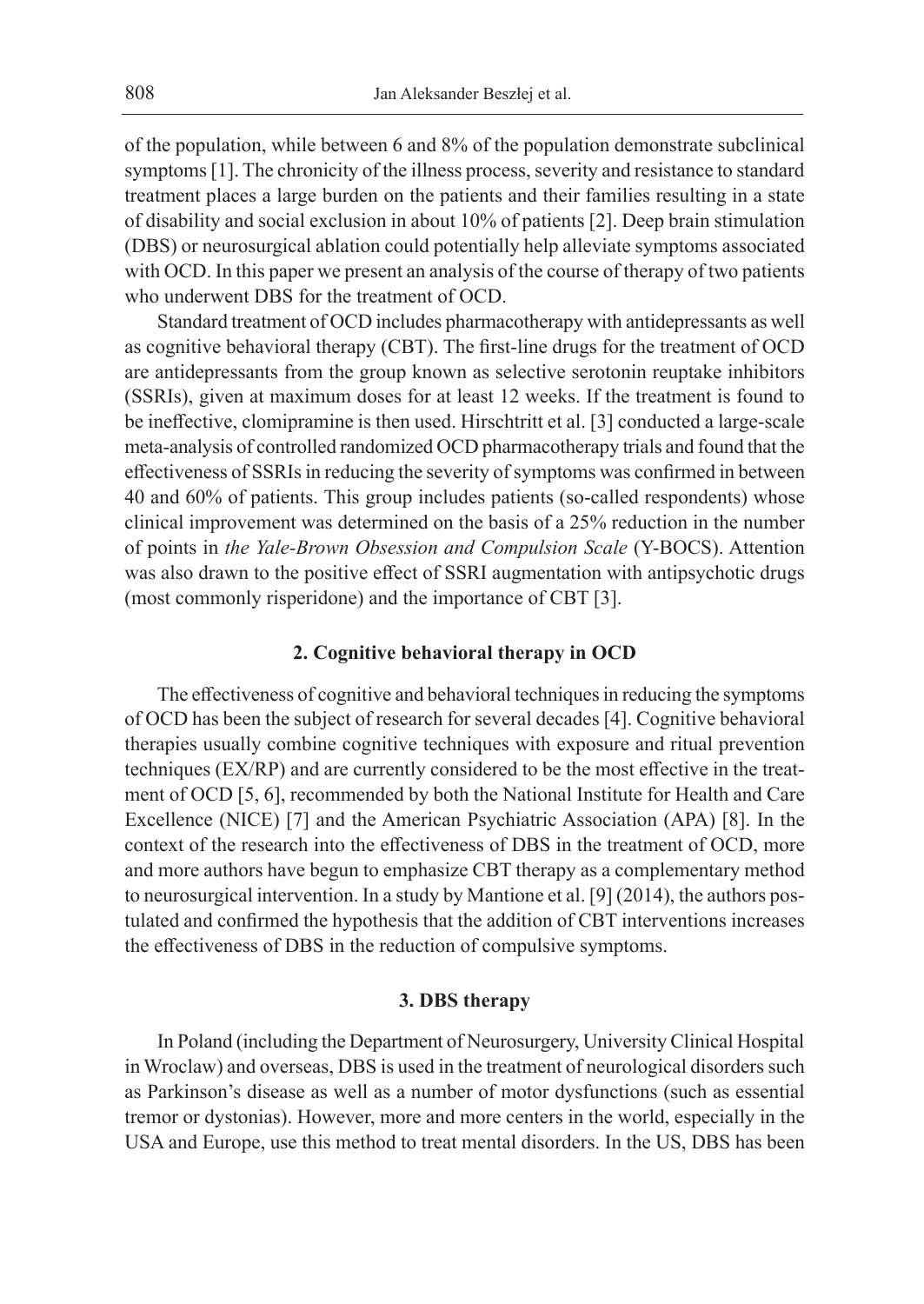of the population, while between 6 and 8% of the population demonstrate subclinical symptoms [1]. The chronicity of the illness process, severity and resistance to standard treatment places a large burden on the patients and their families resulting in a state of disability and social exclusion in about 10% of patients [2]. Deep brain stimulation (DBS) or neurosurgical ablation could potentially help alleviate symptoms associated with OCD. In this paper we present an analysis of the course of therapy of two patients who underwent DBS for the treatment of OCD.

Standard treatment of OCD includes pharmacotherapy with antidepressants as well as cognitive behavioral therapy (CBT). The first-line drugs for the treatment of OCD are antidepressants from the group known as selective serotonin reuptake inhibitors (SSRIs), given at maximum doses for at least 12 weeks. If the treatment is found to be ineffective, clomipramine is then used. Hirschtritt et al. [3] conducted a large-scale meta-analysis of controlled randomized OCD pharmacotherapy trials and found that the effectiveness of SSRIs in reducing the severity of symptoms was confirmed in between 40 and 60% of patients. This group includes patients (so-called respondents) whose clinical improvement was determined on the basis of a 25% reduction in the number of points in *the Yale-Brown Obsession and Compulsion Scale* (Y-BOCS). Attention was also drawn to the positive effect of SSRI augmentation with antipsychotic drugs (most commonly risperidone) and the importance of CBT [3].

#### **2. Cognitive behavioral therapy in OCD**

The effectiveness of cognitive and behavioral techniques in reducing the symptoms of OCD has been the subject of research for several decades [4]. Cognitive behavioral therapies usually combine cognitive techniques with exposure and ritual prevention techniques (EX/RP) and are currently considered to be the most effective in the treatment of OCD [5, 6], recommended by both the National Institute for Health and Care Excellence (NICE) [7] and the American Psychiatric Association (APA) [8]. In the context of the research into the effectiveness of DBS in the treatment of OCD, more and more authors have begun to emphasize CBT therapy as a complementary method to neurosurgical intervention. In a study by Mantione et al. [9] (2014), the authors postulated and confirmed the hypothesis that the addition of CBT interventions increases the effectiveness of DBS in the reduction of compulsive symptoms.

#### **3. DBS therapy**

In Poland (including the Department of Neurosurgery, University Clinical Hospital in Wroclaw) and overseas, DBS is used in the treatment of neurological disorders such as Parkinson's disease as well as a number of motor dysfunctions (such as essential tremor or dystonias). However, more and more centers in the world, especially in the USA and Europe, use this method to treat mental disorders. In the US, DBS has been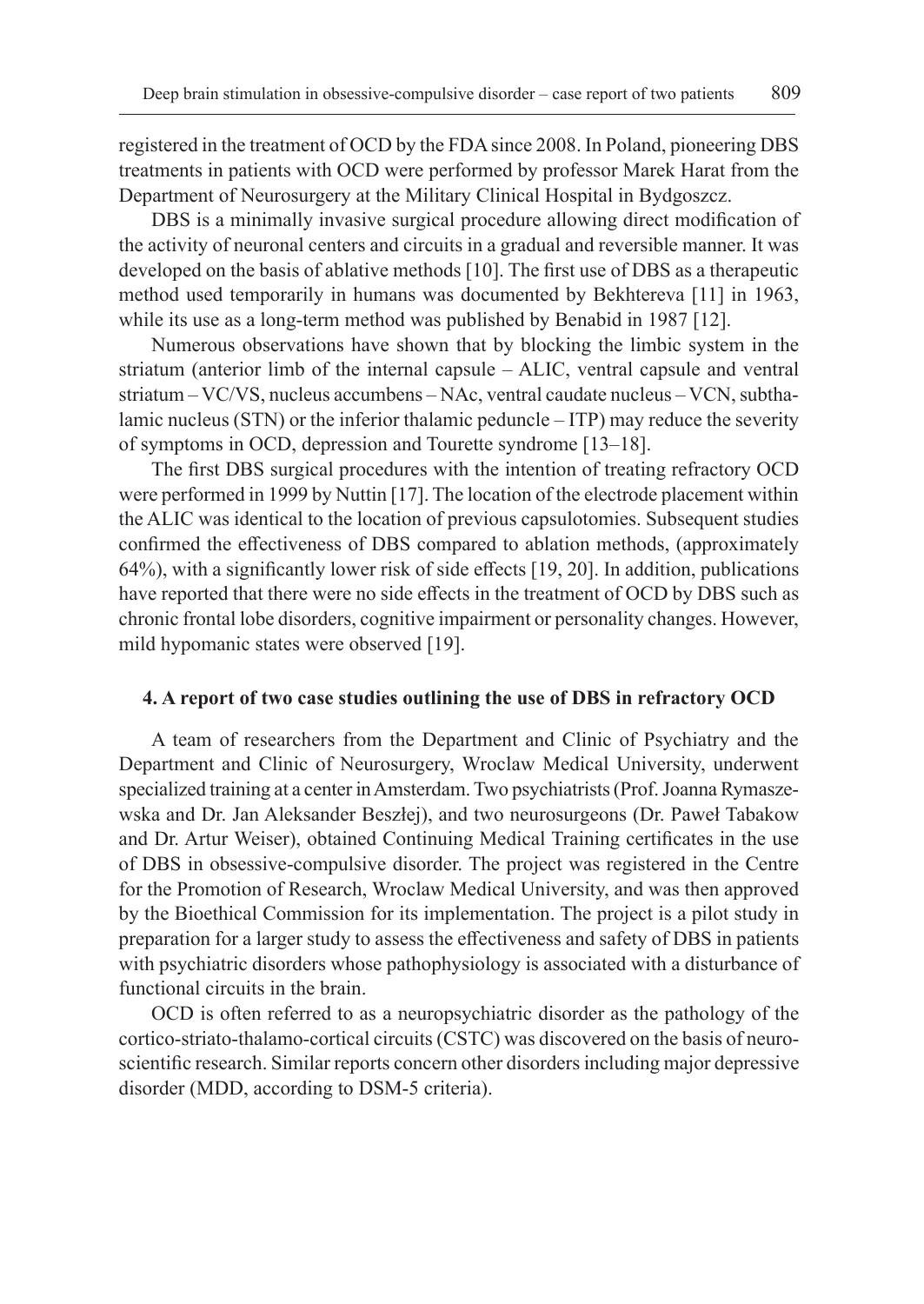registered in the treatment of OCD by the FDA since 2008. In Poland, pioneering DBS treatments in patients with OCD were performed by professor Marek Harat from the Department of Neurosurgery at the Military Clinical Hospital in Bydgoszcz.

DBS is a minimally invasive surgical procedure allowing direct modification of the activity of neuronal centers and circuits in a gradual and reversible manner. It was developed on the basis of ablative methods [10]. The first use of DBS as a therapeutic method used temporarily in humans was documented by Bekhtereva [11] in 1963, while its use as a long-term method was published by Benabid in 1987 [12].

Numerous observations have shown that by blocking the limbic system in the striatum (anterior limb of the internal capsule – ALIC, ventral capsule and ventral striatum – VC/VS, nucleus accumbens – NAc, ventral caudate nucleus – VCN, subthalamic nucleus (STN) or the inferior thalamic peduncle – ITP) may reduce the severity of symptoms in OCD, depression and Tourette syndrome [13–18].

The first DBS surgical procedures with the intention of treating refractory OCD were performed in 1999 by Nuttin [17]. The location of the electrode placement within the ALIC was identical to the location of previous capsulotomies. Subsequent studies confirmed the effectiveness of DBS compared to ablation methods, (approximately 64%), with a significantly lower risk of side effects [19, 20]. In addition, publications have reported that there were no side effects in the treatment of OCD by DBS such as chronic frontal lobe disorders, cognitive impairment or personality changes. However, mild hypomanic states were observed [19].

#### **4. A report of two case studies outlining the use of DBS in refractory OCD**

A team of researchers from the Department and Clinic of Psychiatry and the Department and Clinic of Neurosurgery, Wroclaw Medical University, underwent specialized training at a center in Amsterdam. Two psychiatrists (Prof. Joanna Rymaszewska and Dr. Jan Aleksander Beszłej), and two neurosurgeons (Dr. Paweł Tabakow and Dr. Artur Weiser), obtained Continuing Medical Training certificates in the use of DBS in obsessive-compulsive disorder. The project was registered in the Centre for the Promotion of Research, Wroclaw Medical University, and was then approved by the Bioethical Commission for its implementation. The project is a pilot study in preparation for a larger study to assess the effectiveness and safety of DBS in patients with psychiatric disorders whose pathophysiology is associated with a disturbance of functional circuits in the brain.

OCD is often referred to as a neuropsychiatric disorder as the pathology of the cortico-striato-thalamo-cortical circuits (CSTC) was discovered on the basis of neuroscientific research. Similar reports concern other disorders including major depressive disorder (MDD, according to DSM-5 criteria).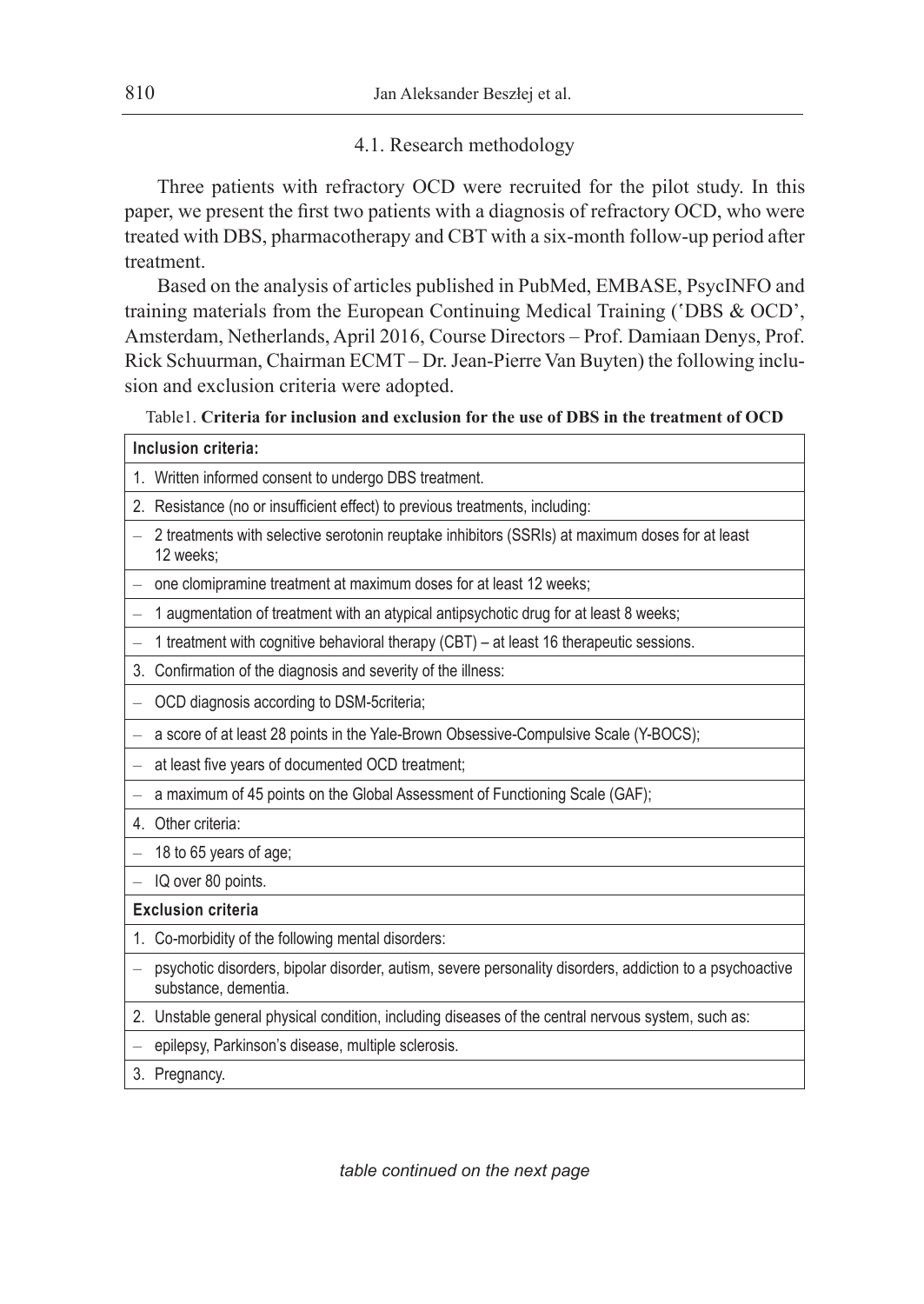# 4.1. Research methodology

Three patients with refractory OCD were recruited for the pilot study. In this paper, we present the first two patients with a diagnosis of refractory OCD, who were treated with DBS, pharmacotherapy and CBT with a six-month follow-up period after treatment.

Based on the analysis of articles published in PubMed, EMBASE, PsycINFO and training materials from the European Continuing Medical Training ('DBS & OCD', Amsterdam, Netherlands, April 2016, Course Directors – Prof. Damiaan Denys, Prof. Rick Schuurman, Chairman ECMT – Dr. Jean-Pierre Van Buyten) the following inclusion and exclusion criteria were adopted.

Table1. **Criteria for inclusion and exclusion for the use of DBS in the treatment of OCD**

| Table1. Criteria for inclusion and exclusion for the use of DBS in the treatment of OCD |                                                                                                                                  |  |
|-----------------------------------------------------------------------------------------|----------------------------------------------------------------------------------------------------------------------------------|--|
| Inclusion criteria:                                                                     |                                                                                                                                  |  |
|                                                                                         | 1. Written informed consent to undergo DBS treatment.                                                                            |  |
| 2.                                                                                      | Resistance (no or insufficient effect) to previous treatments, including:                                                        |  |
|                                                                                         | 2 treatments with selective serotonin reuptake inhibitors (SSRIs) at maximum doses for at least<br>12 weeks:                     |  |
|                                                                                         | one clomipramine treatment at maximum doses for at least 12 weeks;                                                               |  |
|                                                                                         | 1 augmentation of treatment with an atypical antipsychotic drug for at least 8 weeks;                                            |  |
|                                                                                         | 1 treatment with cognitive behavioral therapy (CBT) - at least 16 therapeutic sessions.                                          |  |
| 3.                                                                                      | Confirmation of the diagnosis and severity of the illness:                                                                       |  |
|                                                                                         | OCD diagnosis according to DSM-5criteria;                                                                                        |  |
|                                                                                         | a score of at least 28 points in the Yale-Brown Obsessive-Compulsive Scale (Y-BOCS);                                             |  |
|                                                                                         | at least five years of documented OCD treatment;                                                                                 |  |
| $\overline{\phantom{0}}$                                                                | a maximum of 45 points on the Global Assessment of Functioning Scale (GAF);                                                      |  |
| 4 <sup>1</sup>                                                                          | Other criteria:                                                                                                                  |  |
|                                                                                         | 18 to 65 years of age;                                                                                                           |  |
| $\equiv$                                                                                | IQ over 80 points.                                                                                                               |  |
| <b>Exclusion criteria</b>                                                               |                                                                                                                                  |  |
| 1.                                                                                      | Co-morbidity of the following mental disorders:                                                                                  |  |
|                                                                                         | psychotic disorders, bipolar disorder, autism, severe personality disorders, addiction to a psychoactive<br>substance, dementia. |  |
|                                                                                         | 2. Unstable general physical condition, including diseases of the central nervous system, such as:                               |  |
|                                                                                         | - epilepsy, Parkinson's disease, multiple sclerosis.                                                                             |  |

3. Pregnancy.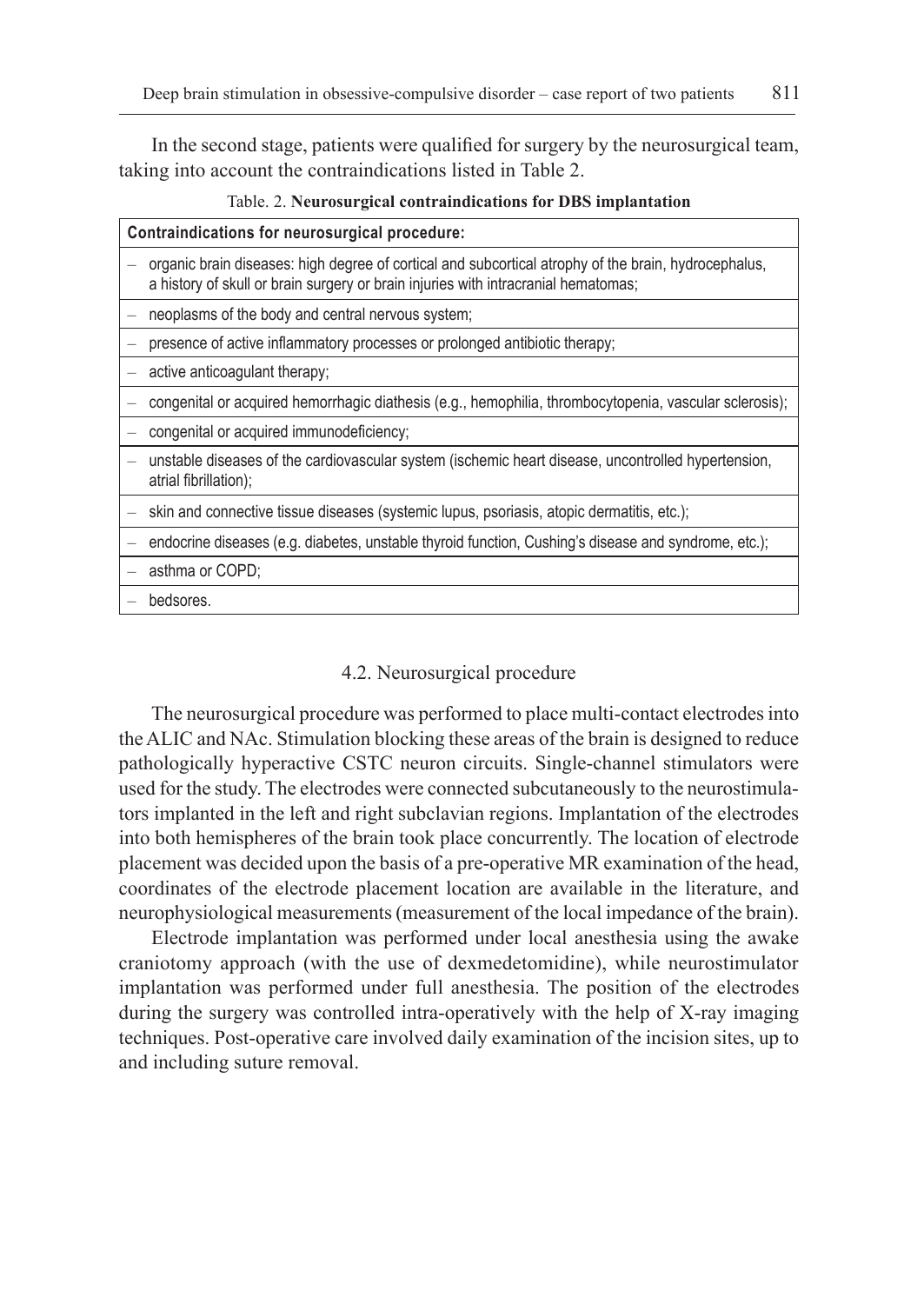In the second stage, patients were qualified for surgery by the neurosurgical team, taking into account the contraindications listed in Table 2.

#### Table. 2. **Neurosurgical contraindications for DBS implantation**

| Contraindications for neurosurgical procedure: |                                                                                                                                                                                            |  |
|------------------------------------------------|--------------------------------------------------------------------------------------------------------------------------------------------------------------------------------------------|--|
|                                                | organic brain diseases: high degree of cortical and subcortical atrophy of the brain, hydrocephalus,<br>a history of skull or brain surgery or brain injuries with intracranial hematomas; |  |
|                                                | neoplasms of the body and central nervous system;                                                                                                                                          |  |
|                                                | presence of active inflammatory processes or prolonged antibiotic therapy;                                                                                                                 |  |
|                                                | active anticoagulant therapy;                                                                                                                                                              |  |
|                                                | congenital or acquired hemorrhagic diathesis (e.g., hemophilia, thrombocytopenia, vascular sclerosis);                                                                                     |  |
|                                                | congenital or acquired immunodeficiency;                                                                                                                                                   |  |
|                                                | unstable diseases of the cardiovascular system (ischemic heart disease, uncontrolled hypertension,<br>atrial fibrillation);                                                                |  |
|                                                | - skin and connective tissue diseases (systemic lupus, psoriasis, atopic dermatitis, etc.);                                                                                                |  |
|                                                | endocrine diseases (e.g. diabetes, unstable thyroid function, Cushing's disease and syndrome, etc.);                                                                                       |  |
|                                                | asthma or COPD;                                                                                                                                                                            |  |
|                                                | bedsores.                                                                                                                                                                                  |  |
|                                                |                                                                                                                                                                                            |  |

#### 4.2. Neurosurgical procedure

The neurosurgical procedure was performed to place multi-contact electrodes into the ALIC and NAc. Stimulation blocking these areas of the brain is designed to reduce pathologically hyperactive CSTC neuron circuits. Single-channel stimulators were used for the study. The electrodes were connected subcutaneously to the neurostimulators implanted in the left and right subclavian regions. Implantation of the electrodes into both hemispheres of the brain took place concurrently. The location of electrode placement was decided upon the basis of a pre-operative MR examination of the head, coordinates of the electrode placement location are available in the literature, and neurophysiological measurements (measurement of the local impedance of the brain).

Electrode implantation was performed under local anesthesia using the awake craniotomy approach (with the use of dexmedetomidine), while neurostimulator implantation was performed under full anesthesia. The position of the electrodes during the surgery was controlled intra-operatively with the help of X-ray imaging techniques. Post-operative care involved daily examination of the incision sites, up to and including suture removal.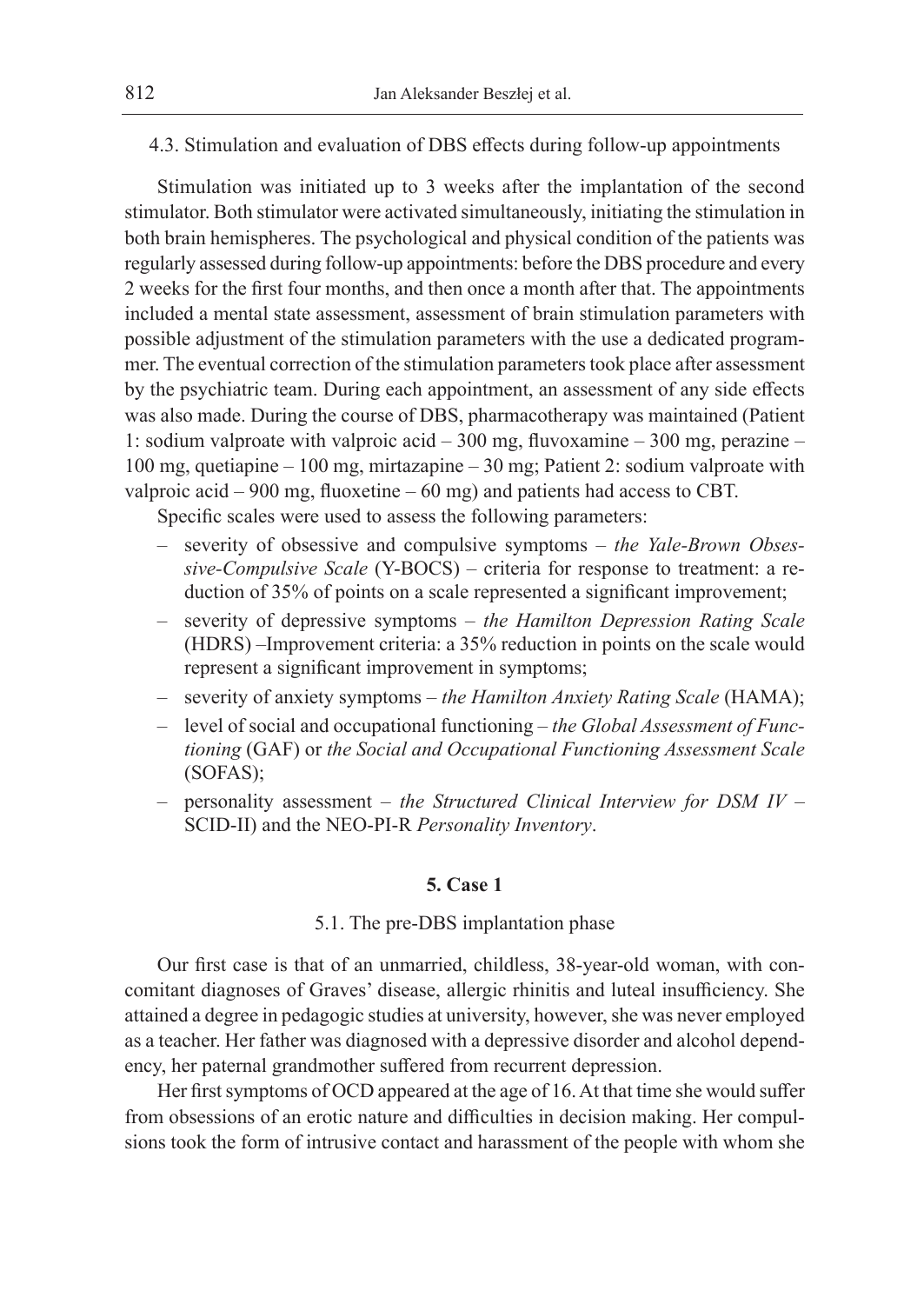# 4.3. Stimulation and evaluation of DBS effects during follow-up appointments

Stimulation was initiated up to 3 weeks after the implantation of the second stimulator. Both stimulator were activated simultaneously, initiating the stimulation in both brain hemispheres. The psychological and physical condition of the patients was regularly assessed during follow-up appointments: before the DBS procedure and every 2 weeks for the first four months, and then once a month after that. The appointments included a mental state assessment, assessment of brain stimulation parameters with possible adjustment of the stimulation parameters with the use a dedicated programmer. The eventual correction of the stimulation parameters took place after assessment by the psychiatric team. During each appointment, an assessment of any side effects was also made. During the course of DBS, pharmacotherapy was maintained (Patient 1: sodium valproate with valproic acid – 300 mg, fluvoxamine – 300 mg, perazine – 100 mg, quetiapine – 100 mg, mirtazapine – 30 mg; Patient 2: sodium valproate with valproic acid – 900 mg, fluoxetine – 60 mg) and patients had access to CBT.

Specific scales were used to assess the following parameters:

- severity of obsessive and compulsive symptoms *the Yale-Brown Obsessive-Compulsive Scale* (Y-BOCS) – criteria for response to treatment: a reduction of 35% of points on a scale represented a significant improvement;
- severity of depressive symptoms *the Hamilton Depression Rating Scale* (HDRS) –Improvement criteria: a 35% reduction in points on the scale would represent a significant improvement in symptoms;
- severity of anxiety symptoms *the Hamilton Anxiety Rating Scale* (HAMA);
- level of social and occupational functioning *the Global Assessment of Functioning* (GAF) or *the Social and Occupational Functioning Assessment Scale* (SOFAS);
- personality assessment *the Structured Clinical Interview for DSM IV* SCID-II) and the NEO-PI-R *Personality Inventory*.

# **5. Case 1**

#### 5.1. The pre-DBS implantation phase

Our first case is that of an unmarried, childless, 38-year-old woman, with concomitant diagnoses of Graves' disease, allergic rhinitis and luteal insufficiency. She attained a degree in pedagogic studies at university, however, she was never employed as a teacher. Her father was diagnosed with a depressive disorder and alcohol dependency, her paternal grandmother suffered from recurrent depression.

Her first symptoms of OCD appeared at the age of 16. At that time she would suffer from obsessions of an erotic nature and difficulties in decision making. Her compulsions took the form of intrusive contact and harassment of the people with whom she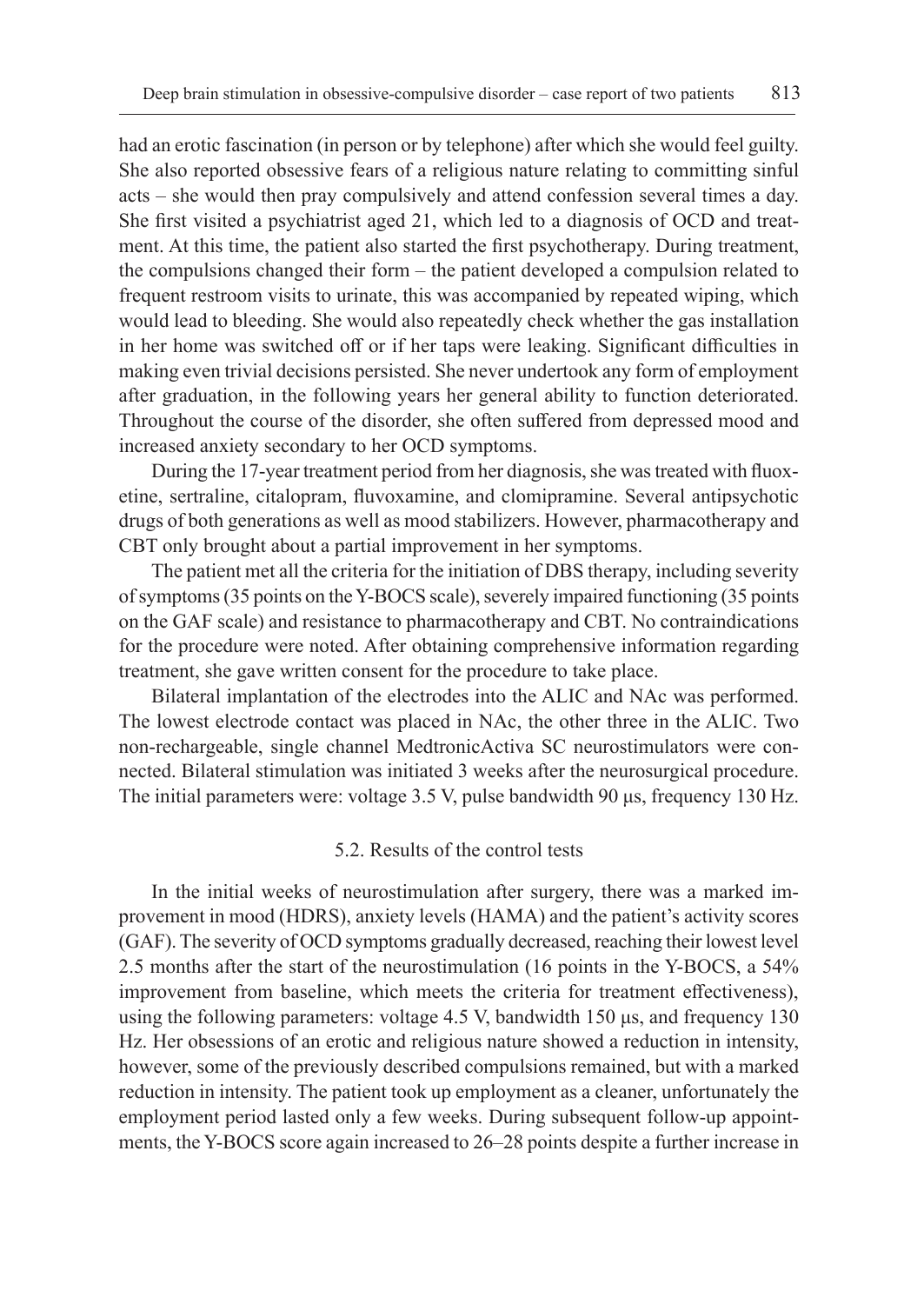had an erotic fascination (in person or by telephone) after which she would feel guilty. She also reported obsessive fears of a religious nature relating to committing sinful acts – she would then pray compulsively and attend confession several times a day. She first visited a psychiatrist aged 21, which led to a diagnosis of OCD and treatment. At this time, the patient also started the first psychotherapy. During treatment, the compulsions changed their form – the patient developed a compulsion related to frequent restroom visits to urinate, this was accompanied by repeated wiping, which would lead to bleeding. She would also repeatedly check whether the gas installation in her home was switched off or if her taps were leaking. Significant difficulties in making even trivial decisions persisted. She never undertook any form of employment after graduation, in the following years her general ability to function deteriorated. Throughout the course of the disorder, she often suffered from depressed mood and increased anxiety secondary to her OCD symptoms.

During the 17-year treatment period from her diagnosis, she was treated with fluoxetine, sertraline, citalopram, fluvoxamine, and clomipramine. Several antipsychotic drugs of both generations as well as mood stabilizers. However, pharmacotherapy and CBT only brought about a partial improvement in her symptoms.

The patient met all the criteria for the initiation of DBS therapy, including severity of symptoms (35 points on the Y-BOCS scale), severely impaired functioning (35 points on the GAF scale) and resistance to pharmacotherapy and CBT. No contraindications for the procedure were noted. After obtaining comprehensive information regarding treatment, she gave written consent for the procedure to take place.

Bilateral implantation of the electrodes into the ALIC and NAc was performed. The lowest electrode contact was placed in NAc, the other three in the ALIC. Two non-rechargeable, single channel MedtronicActiva SC neurostimulators were connected. Bilateral stimulation was initiated 3 weeks after the neurosurgical procedure. The initial parameters were: voltage 3.5 V, pulse bandwidth 90 μs, frequency 130 Hz.

#### 5.2. Results of the control tests

In the initial weeks of neurostimulation after surgery, there was a marked improvement in mood (HDRS), anxiety levels (HAMA) and the patient's activity scores (GAF). The severity of OCD symptoms gradually decreased, reaching their lowest level 2.5 months after the start of the neurostimulation (16 points in the Y-BOCS, a 54% improvement from baseline, which meets the criteria for treatment effectiveness), using the following parameters: voltage 4.5 V, bandwidth 150 μs, and frequency 130 Hz. Her obsessions of an erotic and religious nature showed a reduction in intensity, however, some of the previously described compulsions remained, but with a marked reduction in intensity. The patient took up employment as a cleaner, unfortunately the employment period lasted only a few weeks. During subsequent follow-up appointments, the Y-BOCS score again increased to 26–28 points despite a further increase in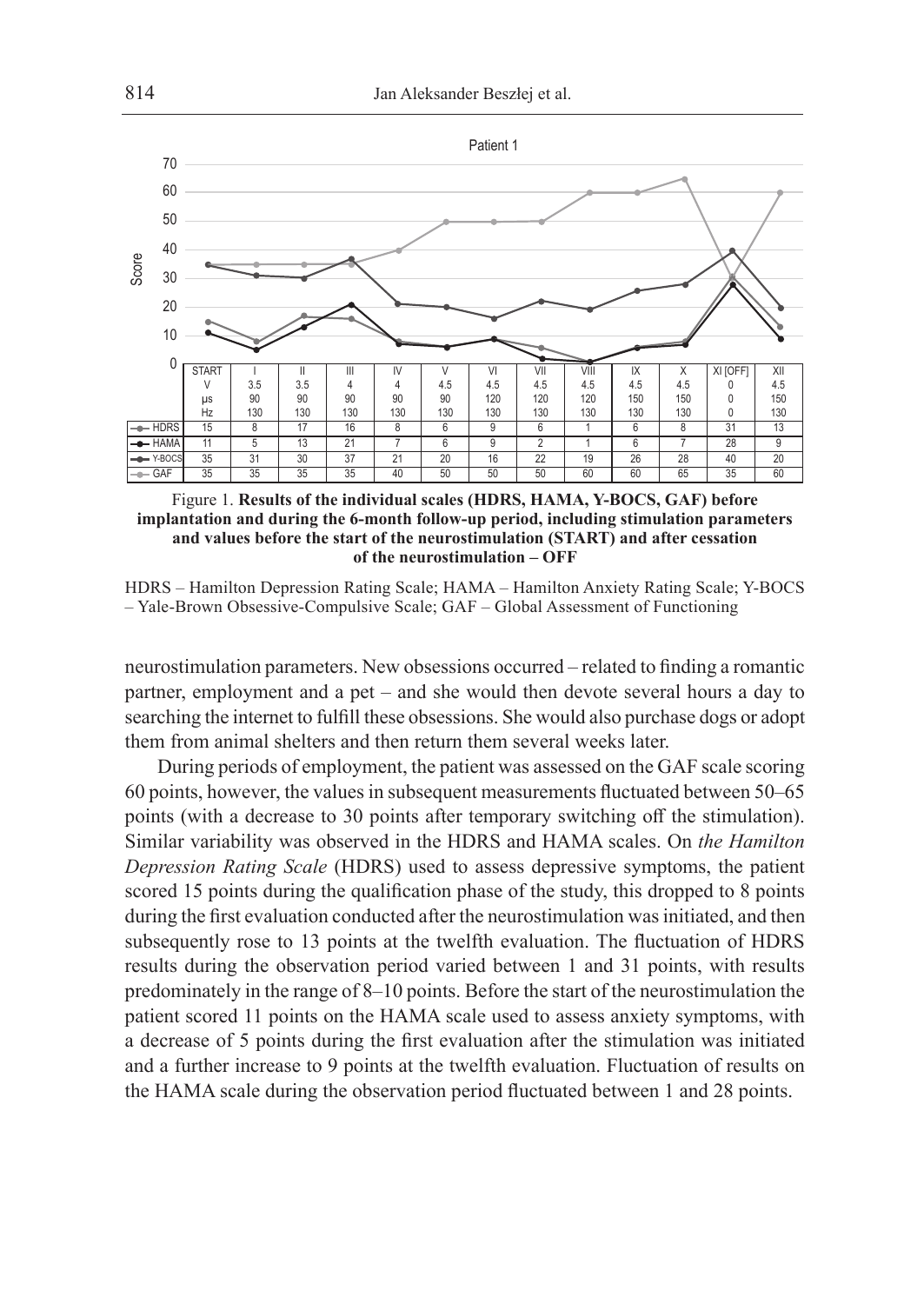

Figure 1. **Results of the individual scales (HDRS, HAMA, Y-BOCS, GAF) before implantation and during the 6-month follow-up period, including stimulation parameters and values before the start of the neurostimulation (START) and after cessation of the neurostimulation – OFF**

HDRS – Hamilton Depression Rating Scale; HAMA – Hamilton Anxiety Rating Scale; Y-BOCS – Yale-Brown Obsessive-Compulsive Scale; GAF – Global Assessment of Functioning

neurostimulation parameters. New obsessions occurred – related to finding a romantic partner, employment and a pet – and she would then devote several hours a day to searching the internet to fulfill these obsessions. She would also purchase dogs or adopt them from animal shelters and then return them several weeks later.

During periods of employment, the patient was assessed on the GAF scale scoring 60 points, however, the values in subsequent measurements fluctuated between 50–65 points (with a decrease to 30 points after temporary switching off the stimulation). Similar variability was observed in the HDRS and HAMA scales. On *the Hamilton Depression Rating Scale* (HDRS) used to assess depressive symptoms, the patient scored 15 points during the qualification phase of the study, this dropped to 8 points during the first evaluation conducted after the neurostimulation was initiated, and then subsequently rose to 13 points at the twelfth evaluation. The fluctuation of HDRS results during the observation period varied between 1 and 31 points, with results predominately in the range of 8–10 points. Before the start of the neurostimulation the patient scored 11 points on the HAMA scale used to assess anxiety symptoms, with a decrease of 5 points during the first evaluation after the stimulation was initiated and a further increase to 9 points at the twelfth evaluation. Fluctuation of results on the HAMA scale during the observation period fluctuated between 1 and 28 points.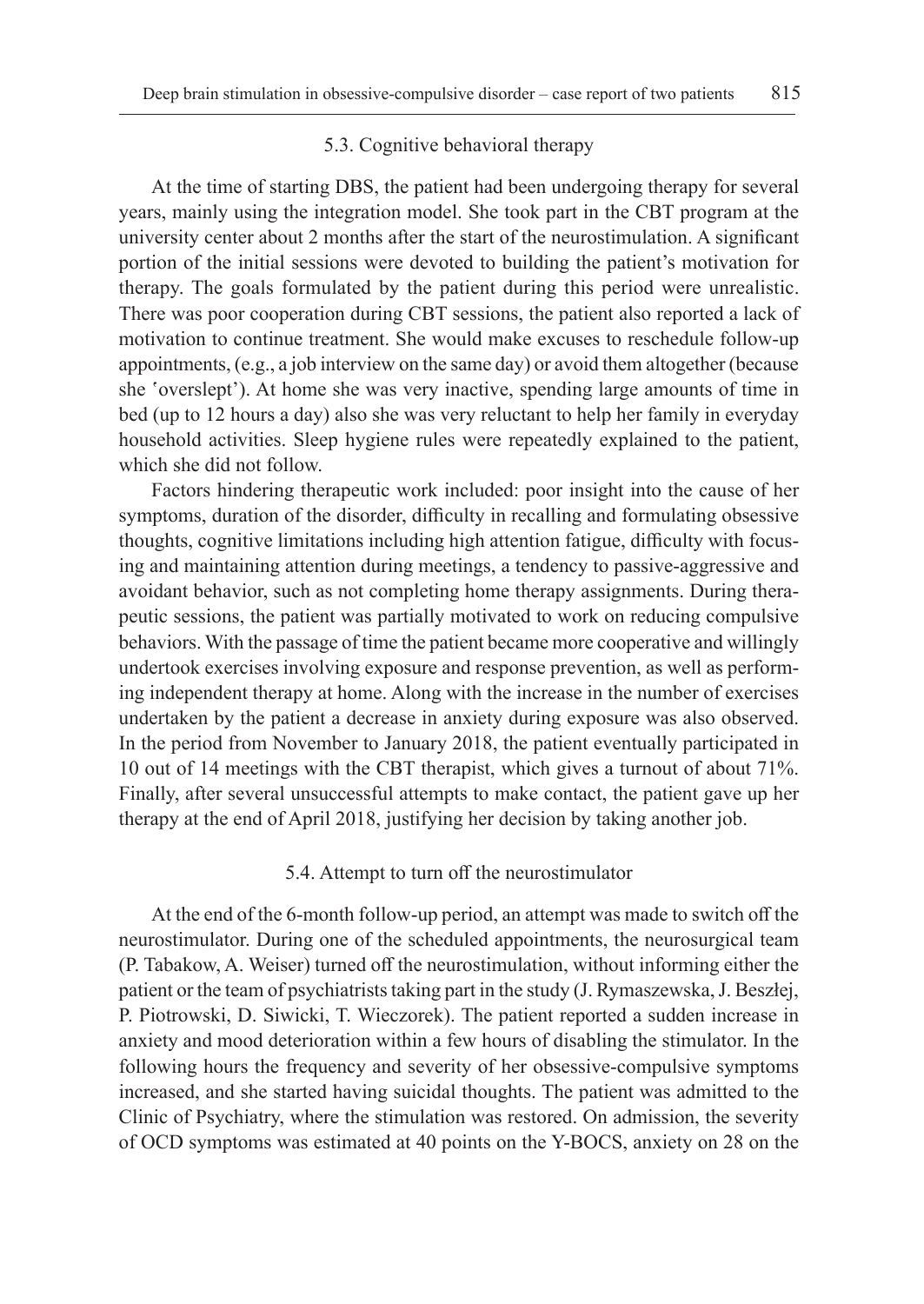#### 5.3. Cognitive behavioral therapy

At the time of starting DBS, the patient had been undergoing therapy for several years, mainly using the integration model. She took part in the CBT program at the university center about 2 months after the start of the neurostimulation. A significant portion of the initial sessions were devoted to building the patient's motivation for therapy. The goals formulated by the patient during this period were unrealistic. There was poor cooperation during CBT sessions, the patient also reported a lack of motivation to continue treatment. She would make excuses to reschedule follow-up appointments, (e.g., a job interview on the same day) or avoid them altogether (because she 'overslept'). At home she was very inactive, spending large amounts of time in bed (up to 12 hours a day) also she was very reluctant to help her family in everyday household activities. Sleep hygiene rules were repeatedly explained to the patient, which she did not follow.

Factors hindering therapeutic work included: poor insight into the cause of her symptoms, duration of the disorder, difficulty in recalling and formulating obsessive thoughts, cognitive limitations including high attention fatigue, difficulty with focusing and maintaining attention during meetings, a tendency to passive-aggressive and avoidant behavior, such as not completing home therapy assignments. During therapeutic sessions, the patient was partially motivated to work on reducing compulsive behaviors. With the passage of time the patient became more cooperative and willingly undertook exercises involving exposure and response prevention, as well as performing independent therapy at home. Along with the increase in the number of exercises undertaken by the patient a decrease in anxiety during exposure was also observed. In the period from November to January 2018, the patient eventually participated in 10 out of 14 meetings with the CBT therapist, which gives a turnout of about 71%. Finally, after several unsuccessful attempts to make contact, the patient gave up her therapy at the end of April 2018, justifying her decision by taking another job.

# 5.4. Attempt to turn off the neurostimulator

At the end of the 6-month follow-up period, an attempt was made to switch off the neurostimulator. During one of the scheduled appointments, the neurosurgical team (P. Tabakow, A. Weiser) turned off the neurostimulation, without informing either the patient or the team of psychiatrists taking part in the study (J. Rymaszewska, J. Beszłej, P. Piotrowski, D. Siwicki, T. Wieczorek). The patient reported a sudden increase in anxiety and mood deterioration within a few hours of disabling the stimulator. In the following hours the frequency and severity of her obsessive-compulsive symptoms increased, and she started having suicidal thoughts. The patient was admitted to the Clinic of Psychiatry, where the stimulation was restored. On admission, the severity of OCD symptoms was estimated at 40 points on the Y-BOCS, anxiety on 28 on the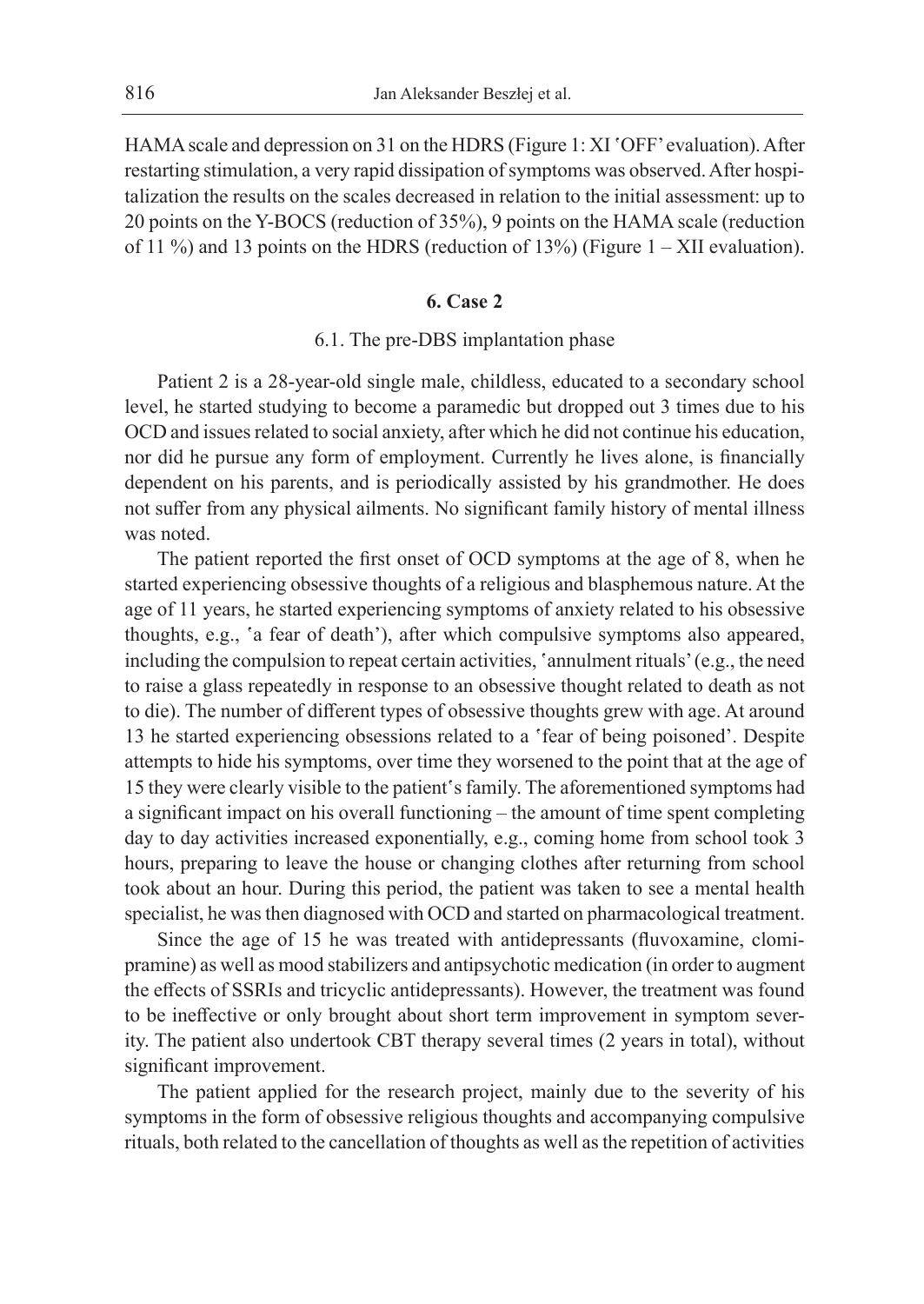HAMA scale and depression on 31 on the HDRS (Figure 1: XI 'OFF' evaluation). After restarting stimulation, a very rapid dissipation of symptoms was observed. After hospitalization the results on the scales decreased in relation to the initial assessment: up to 20 points on the Y-BOCS (reduction of 35%), 9 points on the HAMA scale (reduction of 11 %) and 13 points on the HDRS (reduction of 13%) (Figure  $1 - XII$  evaluation).

#### **6. Case 2**

# 6.1. The pre-DBS implantation phase

Patient 2 is a 28-year-old single male, childless, educated to a secondary school level, he started studying to become a paramedic but dropped out 3 times due to his OCD and issues related to social anxiety, after which he did not continue his education, nor did he pursue any form of employment. Currently he lives alone, is financially dependent on his parents, and is periodically assisted by his grandmother. He does not suffer from any physical ailments. No significant family history of mental illness was noted.

The patient reported the first onset of OCD symptoms at the age of 8, when he started experiencing obsessive thoughts of a religious and blasphemous nature. At the age of 11 years, he started experiencing symptoms of anxiety related to his obsessive thoughts, e.g., 'a fear of death'), after which compulsive symptoms also appeared, including the compulsion to repeat certain activities, 'annulment rituals' (e.g., the need to raise a glass repeatedly in response to an obsessive thought related to death as not to die). The number of different types of obsessive thoughts grew with age. At around 13 he started experiencing obsessions related to a 'fear of being poisoned'. Despite attempts to hide his symptoms, over time they worsened to the point that at the age of 15 they were clearly visible to the patient's family. The aforementioned symptoms had a significant impact on his overall functioning – the amount of time spent completing day to day activities increased exponentially, e.g., coming home from school took 3 hours, preparing to leave the house or changing clothes after returning from school took about an hour. During this period, the patient was taken to see a mental health specialist, he was then diagnosed with OCD and started on pharmacological treatment.

Since the age of 15 he was treated with antidepressants (fluvoxamine, clomipramine) as well as mood stabilizers and antipsychotic medication (in order to augment the effects of SSRIs and tricyclic antidepressants). However, the treatment was found to be ineffective or only brought about short term improvement in symptom severity. The patient also undertook CBT therapy several times (2 years in total), without significant improvement.

The patient applied for the research project, mainly due to the severity of his symptoms in the form of obsessive religious thoughts and accompanying compulsive rituals, both related to the cancellation of thoughts as well as the repetition of activities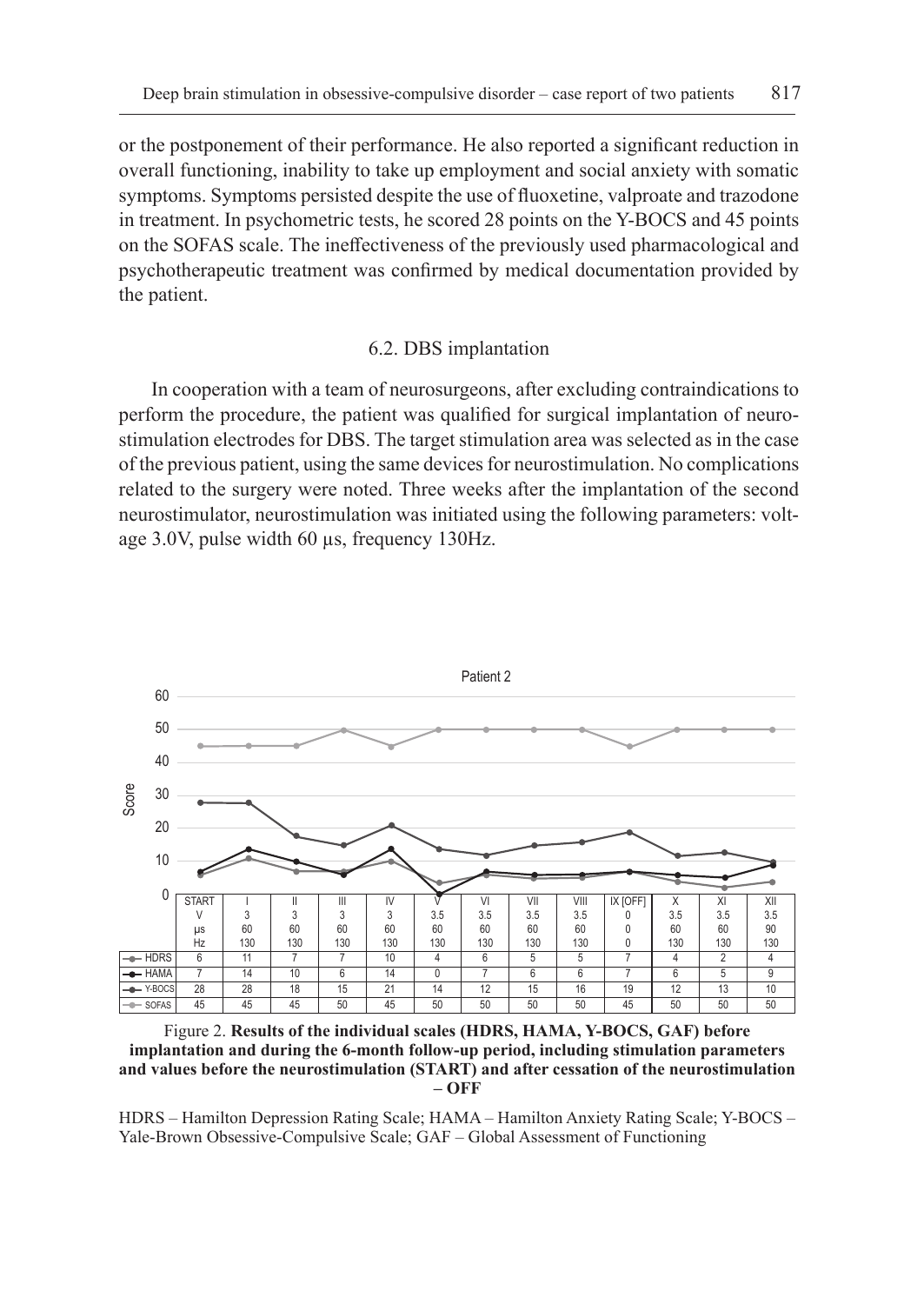or the postponement of their performance. He also reported a significant reduction in overall functioning, inability to take up employment and social anxiety with somatic symptoms. Symptoms persisted despite the use of fluoxetine, valproate and trazodone in treatment. In psychometric tests, he scored 28 points on the Y-BOCS and 45 points on the SOFAS scale. The ineffectiveness of the previously used pharmacological and psychotherapeutic treatment was confirmed by medical documentation provided by the patient.

# 6.2. DBS implantation

In cooperation with a team of neurosurgeons, after excluding contraindications to perform the procedure, the patient was qualified for surgical implantation of neurostimulation electrodes for DBS. The target stimulation area was selected as in the case of the previous patient, using the same devices for neurostimulation. No complications related to the surgery were noted. Three weeks after the implantation of the second neurostimulator, neurostimulation was initiated using the following parameters: voltage 3.0V, pulse width 60 µs, frequency 130Hz.



Figure 2. **Results of the individual scales (HDRS, HAMA, Y-BOCS, GAF) before implantation and during the 6-month follow-up period, including stimulation parameters and values before the neurostimulation (START) and after cessation of the neurostimulation – OFF**

HDRS – Hamilton Depression Rating Scale; HAMA – Hamilton Anxiety Rating Scale; Y-BOCS – Yale-Brown Obsessive-Compulsive Scale; GAF – Global Assessment of Functioning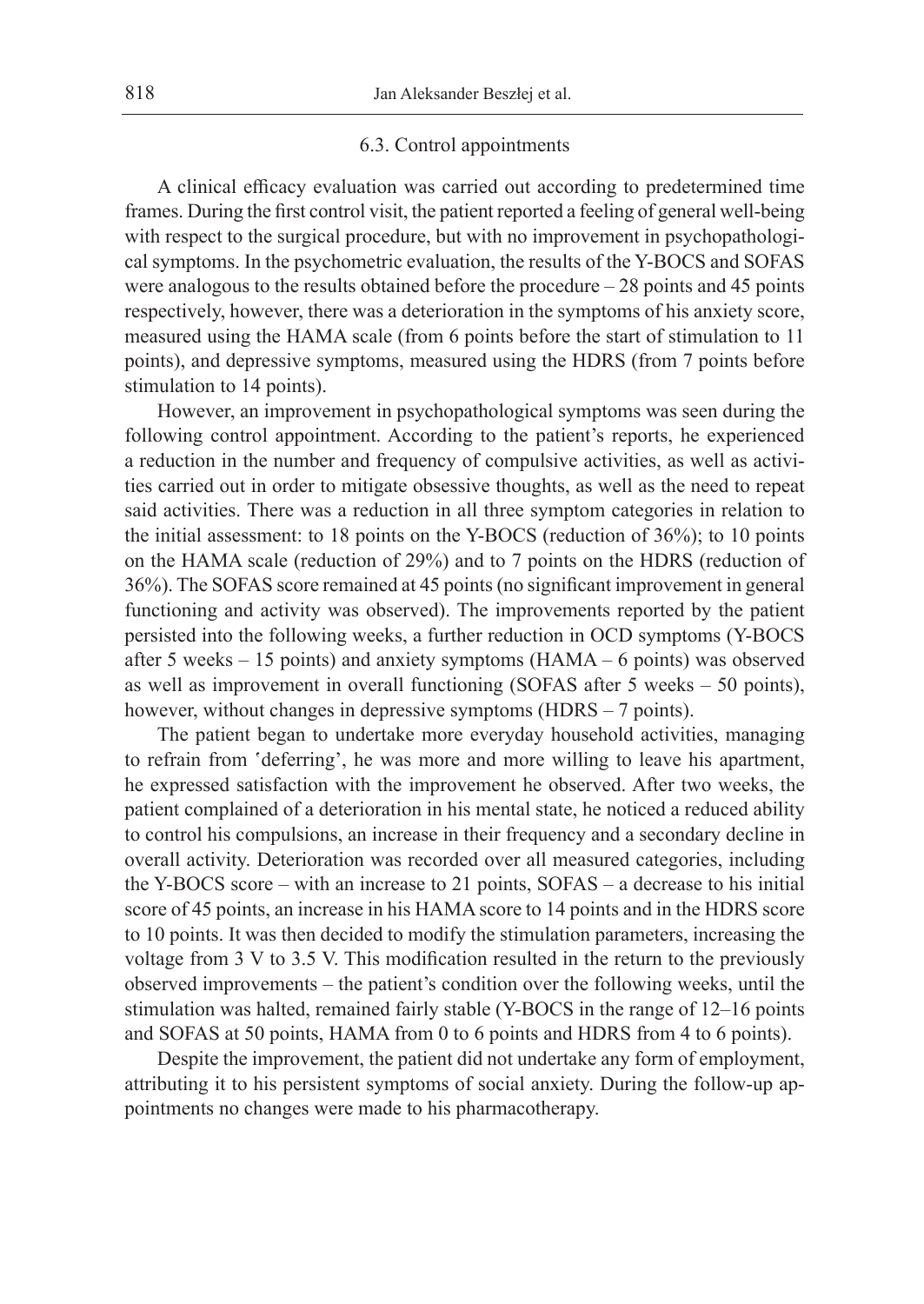#### 6.3. Control appointments

A clinical efficacy evaluation was carried out according to predetermined time frames. During the first control visit, the patient reported a feeling of general well-being with respect to the surgical procedure, but with no improvement in psychopathological symptoms. In the psychometric evaluation, the results of the Y-BOCS and SOFAS were analogous to the results obtained before the procedure – 28 points and 45 points respectively, however, there was a deterioration in the symptoms of his anxiety score, measured using the HAMA scale (from 6 points before the start of stimulation to 11 points), and depressive symptoms, measured using the HDRS (from 7 points before stimulation to 14 points).

However, an improvement in psychopathological symptoms was seen during the following control appointment. According to the patient's reports, he experienced a reduction in the number and frequency of compulsive activities, as well as activities carried out in order to mitigate obsessive thoughts, as well as the need to repeat said activities. There was a reduction in all three symptom categories in relation to the initial assessment: to 18 points on the Y-BOCS (reduction of 36%); to 10 points on the HAMA scale (reduction of 29%) and to 7 points on the HDRS (reduction of 36%). The SOFAS score remained at 45 points (no significant improvement in general functioning and activity was observed). The improvements reported by the patient persisted into the following weeks, a further reduction in OCD symptoms (Y-BOCS after 5 weeks – 15 points) and anxiety symptoms (HAMA – 6 points) was observed as well as improvement in overall functioning (SOFAS after 5 weeks – 50 points), however, without changes in depressive symptoms (HDRS – 7 points).

The patient began to undertake more everyday household activities, managing to refrain from 'deferring', he was more and more willing to leave his apartment, he expressed satisfaction with the improvement he observed. After two weeks, the patient complained of a deterioration in his mental state, he noticed a reduced ability to control his compulsions, an increase in their frequency and a secondary decline in overall activity. Deterioration was recorded over all measured categories, including the Y-BOCS score – with an increase to 21 points, SOFAS – a decrease to his initial score of 45 points, an increase in his HAMA score to 14 points and in the HDRS score to 10 points. It was then decided to modify the stimulation parameters, increasing the voltage from 3 V to 3.5 V. This modification resulted in the return to the previously observed improvements – the patient's condition over the following weeks, until the stimulation was halted, remained fairly stable (Y-BOCS in the range of 12–16 points and SOFAS at 50 points, HAMA from 0 to 6 points and HDRS from 4 to 6 points).

Despite the improvement, the patient did not undertake any form of employment, attributing it to his persistent symptoms of social anxiety. During the follow-up appointments no changes were made to his pharmacotherapy.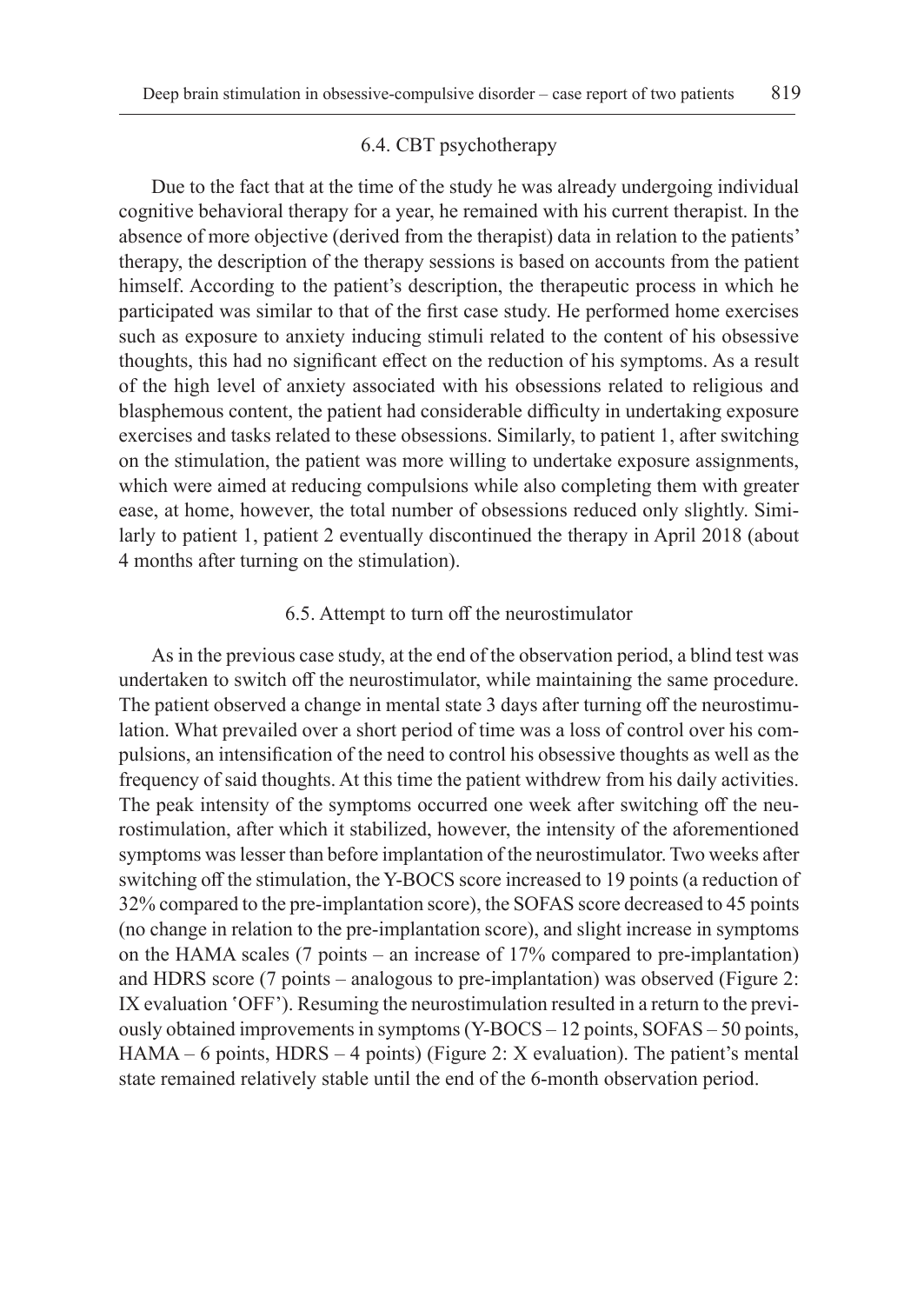#### 6.4. CBT psychotherapy

Due to the fact that at the time of the study he was already undergoing individual cognitive behavioral therapy for a year, he remained with his current therapist. In the absence of more objective (derived from the therapist) data in relation to the patients' therapy, the description of the therapy sessions is based on accounts from the patient himself. According to the patient's description, the therapeutic process in which he participated was similar to that of the first case study. He performed home exercises such as exposure to anxiety inducing stimuli related to the content of his obsessive thoughts, this had no significant effect on the reduction of his symptoms. As a result of the high level of anxiety associated with his obsessions related to religious and blasphemous content, the patient had considerable difficulty in undertaking exposure exercises and tasks related to these obsessions. Similarly, to patient 1, after switching on the stimulation, the patient was more willing to undertake exposure assignments, which were aimed at reducing compulsions while also completing them with greater ease, at home, however, the total number of obsessions reduced only slightly. Similarly to patient 1, patient 2 eventually discontinued the therapy in April 2018 (about 4 months after turning on the stimulation).

#### 6.5. Attempt to turn off the neurostimulator

As in the previous case study, at the end of the observation period, a blind test was undertaken to switch off the neurostimulator, while maintaining the same procedure. The patient observed a change in mental state 3 days after turning off the neurostimulation. What prevailed over a short period of time was a loss of control over his compulsions, an intensification of the need to control his obsessive thoughts as well as the frequency of said thoughts. At this time the patient withdrew from his daily activities. The peak intensity of the symptoms occurred one week after switching off the neurostimulation, after which it stabilized, however, the intensity of the aforementioned symptoms was lesser than before implantation of the neurostimulator. Two weeks after switching off the stimulation, the Y-BOCS score increased to 19 points (a reduction of 32% compared to the pre-implantation score), the SOFAS score decreased to 45 points (no change in relation to the pre-implantation score), and slight increase in symptoms on the HAMA scales (7 points – an increase of 17% compared to pre-implantation) and HDRS score (7 points – analogous to pre-implantation) was observed (Figure 2: IX evaluation 'OFF'). Resuming the neurostimulation resulted in a return to the previously obtained improvements in symptoms (Y-BOCS – 12 points, SOFAS – 50 points, HAMA – 6 points, HDRS – 4 points) (Figure 2: X evaluation). The patient's mental state remained relatively stable until the end of the 6-month observation period.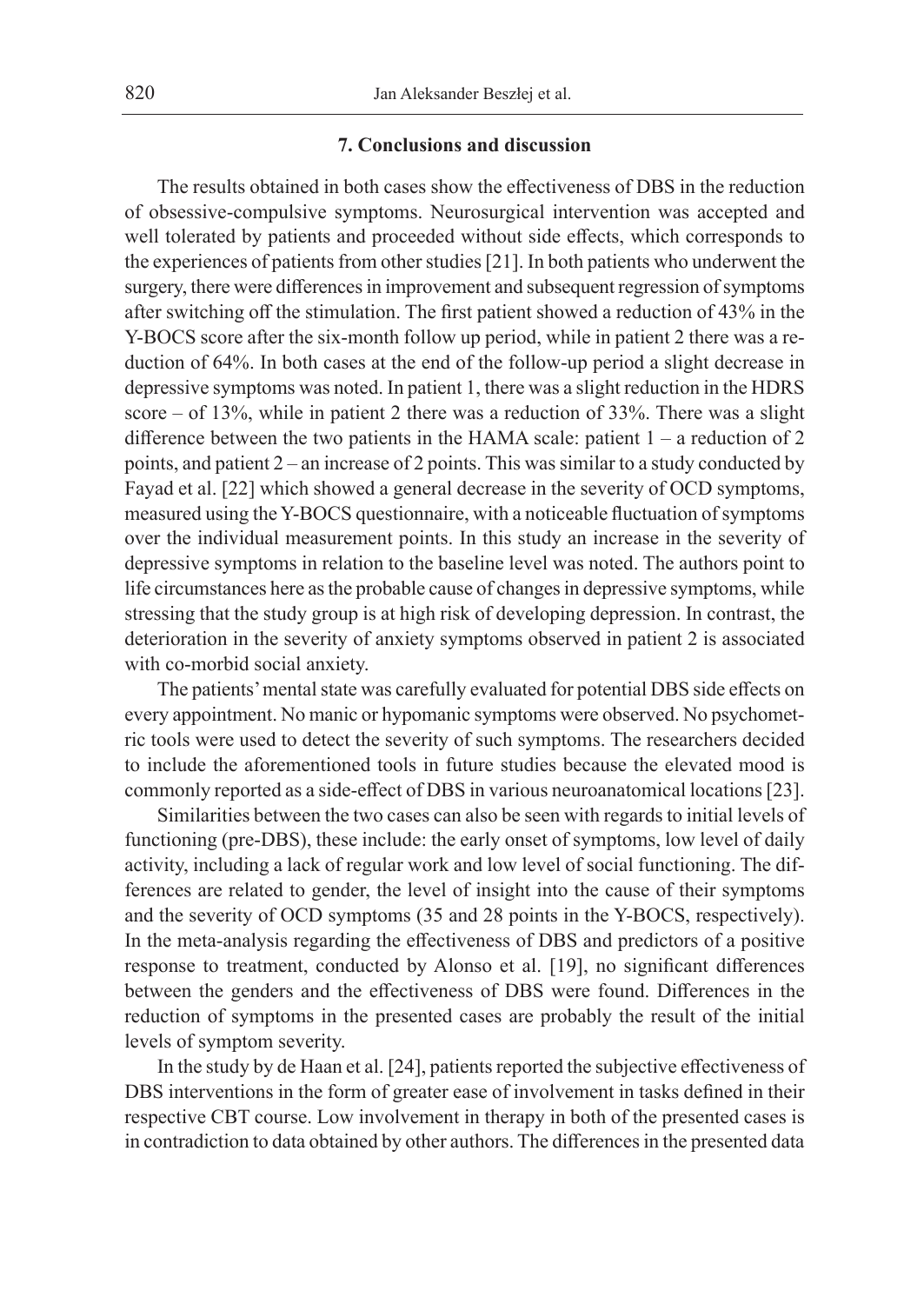#### **7. Conclusions and discussion**

The results obtained in both cases show the effectiveness of DBS in the reduction of obsessive-compulsive symptoms. Neurosurgical intervention was accepted and well tolerated by patients and proceeded without side effects, which corresponds to the experiences of patients from other studies [21]. In both patients who underwent the surgery, there were differences in improvement and subsequent regression of symptoms after switching off the stimulation. The first patient showed a reduction of 43% in the Y-BOCS score after the six-month follow up period, while in patient 2 there was a reduction of 64%. In both cases at the end of the follow-up period a slight decrease in depressive symptoms was noted. In patient 1, there was a slight reduction in the HDRS score – of 13%, while in patient 2 there was a reduction of 33%. There was a slight difference between the two patients in the HAMA scale: patient  $1 - a$  reduction of 2 points, and patient 2 – an increase of 2 points. This was similar to a study conducted by Fayad et al. [22] which showed a general decrease in the severity of OCD symptoms, measured using the Y-BOCS questionnaire, with a noticeable fluctuation of symptoms over the individual measurement points. In this study an increase in the severity of depressive symptoms in relation to the baseline level was noted. The authors point to life circumstances here as the probable cause of changes in depressive symptoms, while stressing that the study group is at high risk of developing depression. In contrast, the deterioration in the severity of anxiety symptoms observed in patient 2 is associated with co-morbid social anxiety.

The patients' mental state was carefully evaluated for potential DBS side effects on every appointment. No manic or hypomanic symptoms were observed. No psychometric tools were used to detect the severity of such symptoms. The researchers decided to include the aforementioned tools in future studies because the elevated mood is commonly reported as a side-effect of DBS in various neuroanatomical locations [23].

Similarities between the two cases can also be seen with regards to initial levels of functioning (pre-DBS), these include: the early onset of symptoms, low level of daily activity, including a lack of regular work and low level of social functioning. The differences are related to gender, the level of insight into the cause of their symptoms and the severity of OCD symptoms (35 and 28 points in the Y-BOCS, respectively). In the meta-analysis regarding the effectiveness of DBS and predictors of a positive response to treatment, conducted by Alonso et al. [19], no significant differences between the genders and the effectiveness of DBS were found. Differences in the reduction of symptoms in the presented cases are probably the result of the initial levels of symptom severity.

In the study by de Haan et al. [24], patients reported the subjective effectiveness of DBS interventions in the form of greater ease of involvement in tasks defined in their respective CBT course. Low involvement in therapy in both of the presented cases is in contradiction to data obtained by other authors. The differences in the presented data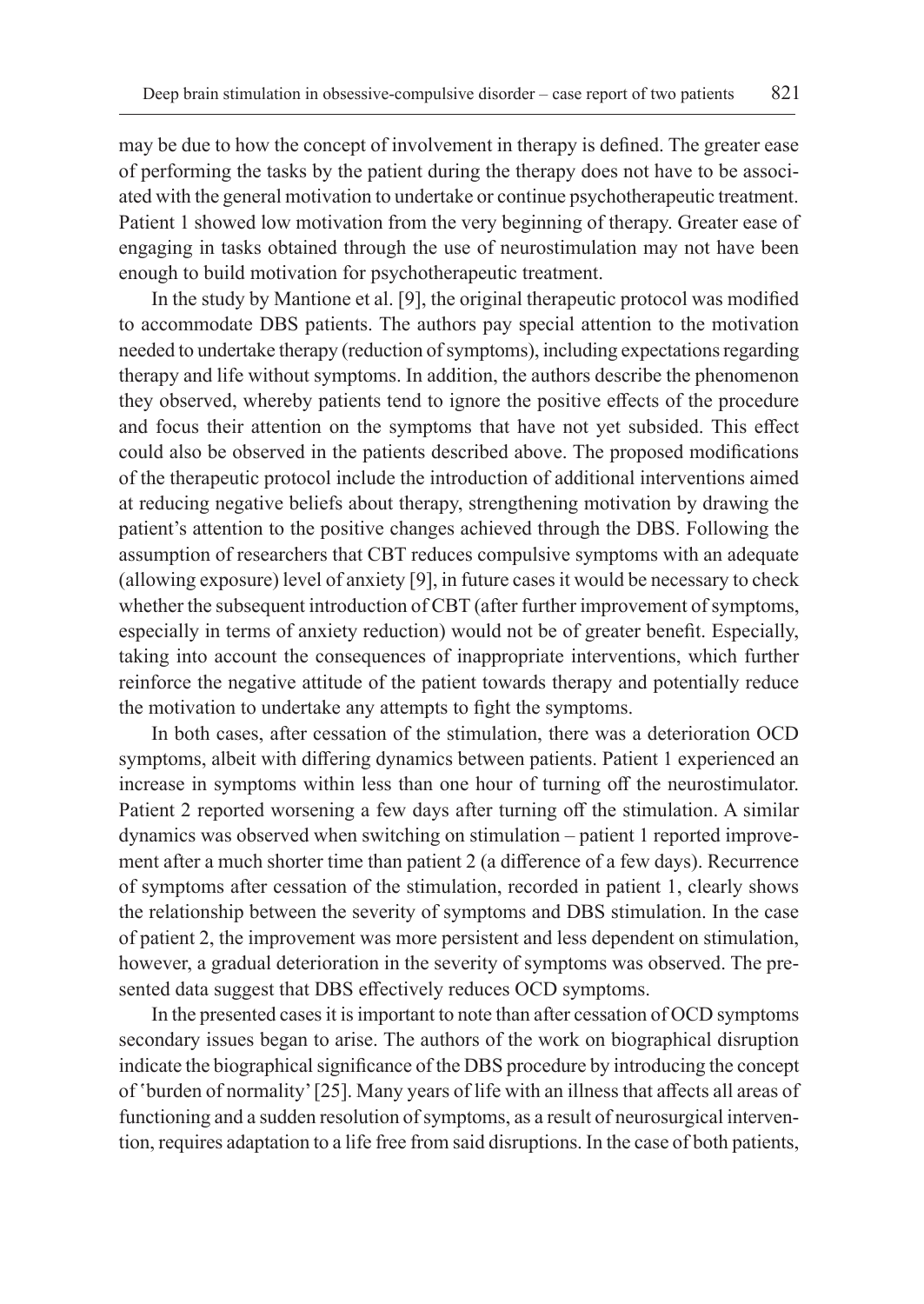may be due to how the concept of involvement in therapy is defined. The greater ease of performing the tasks by the patient during the therapy does not have to be associated with the general motivation to undertake or continue psychotherapeutic treatment. Patient 1 showed low motivation from the very beginning of therapy. Greater ease of engaging in tasks obtained through the use of neurostimulation may not have been enough to build motivation for psychotherapeutic treatment.

In the study by Mantione et al. [9], the original therapeutic protocol was modified to accommodate DBS patients. The authors pay special attention to the motivation needed to undertake therapy (reduction of symptoms), including expectations regarding therapy and life without symptoms. In addition, the authors describe the phenomenon they observed, whereby patients tend to ignore the positive effects of the procedure and focus their attention on the symptoms that have not yet subsided. This effect could also be observed in the patients described above. The proposed modifications of the therapeutic protocol include the introduction of additional interventions aimed at reducing negative beliefs about therapy, strengthening motivation by drawing the patient's attention to the positive changes achieved through the DBS. Following the assumption of researchers that CBT reduces compulsive symptoms with an adequate (allowing exposure) level of anxiety [9], in future cases it would be necessary to check whether the subsequent introduction of CBT (after further improvement of symptoms, especially in terms of anxiety reduction) would not be of greater benefit. Especially, taking into account the consequences of inappropriate interventions, which further reinforce the negative attitude of the patient towards therapy and potentially reduce the motivation to undertake any attempts to fight the symptoms.

In both cases, after cessation of the stimulation, there was a deterioration OCD symptoms, albeit with differing dynamics between patients. Patient 1 experienced an increase in symptoms within less than one hour of turning off the neurostimulator. Patient 2 reported worsening a few days after turning off the stimulation. A similar dynamics was observed when switching on stimulation – patient 1 reported improvement after a much shorter time than patient 2 (a difference of a few days). Recurrence of symptoms after cessation of the stimulation, recorded in patient 1, clearly shows the relationship between the severity of symptoms and DBS stimulation. In the case of patient 2, the improvement was more persistent and less dependent on stimulation, however, a gradual deterioration in the severity of symptoms was observed. The presented data suggest that DBS effectively reduces OCD symptoms.

In the presented cases it is important to note than after cessation of OCD symptoms secondary issues began to arise. The authors of the work on biographical disruption indicate the biographical significance of the DBS procedure by introducing the concept of 'burden of normality' [25]. Many years of life with an illness that affects all areas of functioning and a sudden resolution of symptoms, as a result of neurosurgical intervention, requires adaptation to a life free from said disruptions. In the case of both patients,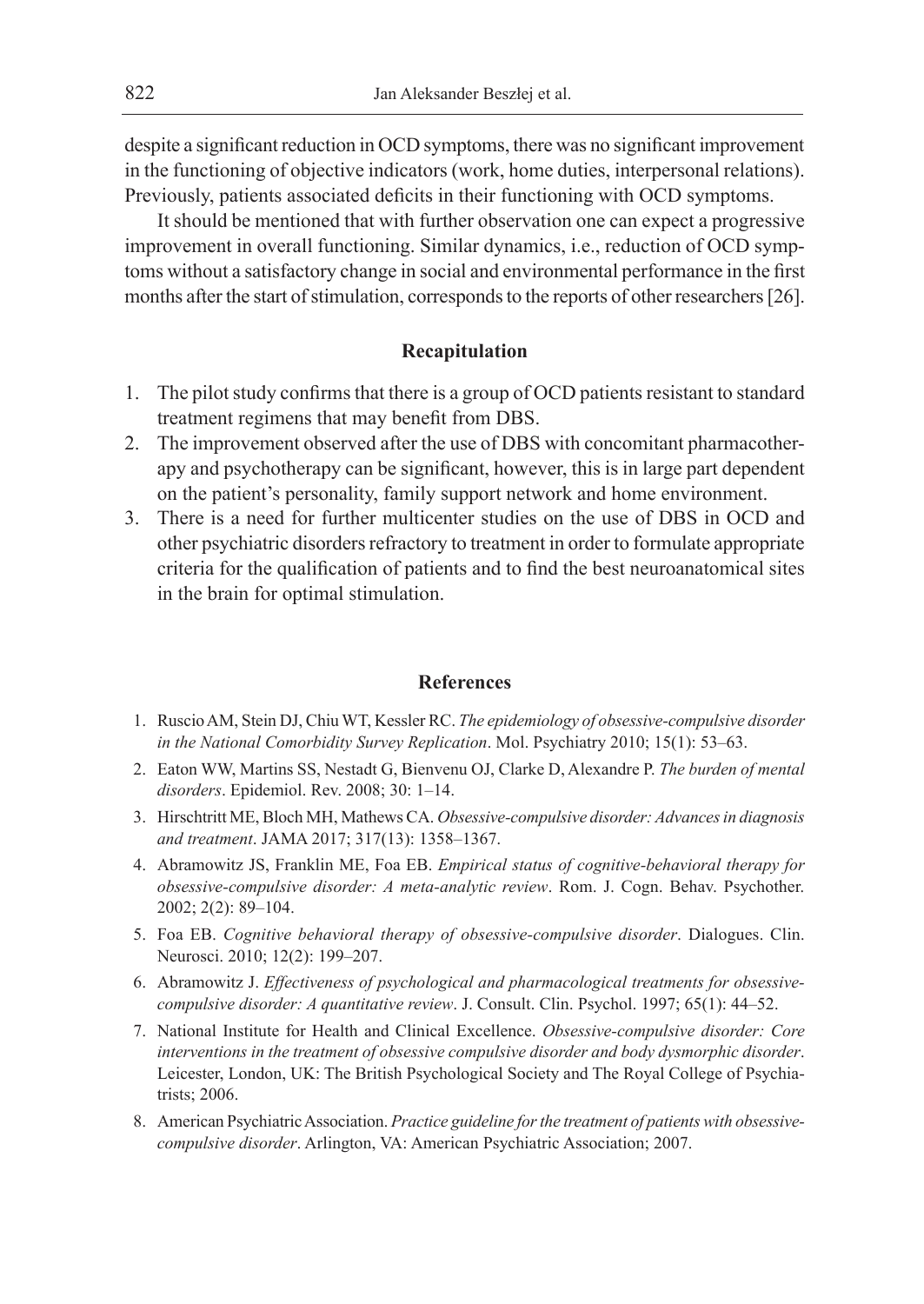despite a significant reduction in OCD symptoms, there was no significant improvement in the functioning of objective indicators (work, home duties, interpersonal relations). Previously, patients associated deficits in their functioning with OCD symptoms.

It should be mentioned that with further observation one can expect a progressive improvement in overall functioning. Similar dynamics, i.e., reduction of OCD symptoms without a satisfactory change in social and environmental performance in the first months after the start of stimulation, corresponds to the reports of other researchers [26].

# **Recapitulation**

- 1. The pilot study confirms that there is a group of OCD patients resistant to standard treatment regimens that may benefit from DBS.
- 2. The improvement observed after the use of DBS with concomitant pharmacotherapy and psychotherapy can be significant, however, this is in large part dependent on the patient's personality, family support network and home environment.
- 3. There is a need for further multicenter studies on the use of DBS in OCD and other psychiatric disorders refractory to treatment in order to formulate appropriate criteria for the qualification of patients and to find the best neuroanatomical sites in the brain for optimal stimulation.

#### **References**

- 1. Ruscio AM, Stein DJ, Chiu WT, Kessler RC. *The epidemiology of obsessive-compulsive disorder in the National Comorbidity Survey Replication*. Mol. Psychiatry 2010; 15(1): 53–63.
- 2. Eaton WW, Martins SS, Nestadt G, Bienvenu OJ, Clarke D, Alexandre P. *The burden of mental disorders*. Epidemiol. Rev. 2008; 30: 1–14.
- 3. Hirschtritt ME, Bloch MH, Mathews CA. *Obsessive-compulsive disorder: Advances in diagnosis and treatment*. JAMA 2017; 317(13): 1358–1367.
- 4. Abramowitz JS, Franklin ME, Foa EB. *Empirical status of cognitive-behavioral therapy for obsessive-compulsive disorder: A meta-analytic review*. Rom. J. Cogn. Behav. Psychother. 2002; 2(2): 89–104.
- 5. Foa EB. *Cognitive behavioral therapy of obsessive-compulsive disorder*. Dialogues. Clin. Neurosci. 2010; 12(2): 199–207.
- 6. Abramowitz J. *Effectiveness of psychological and pharmacological treatments for obsessivecompulsive disorder: A quantitative review*. J. Consult. Clin. Psychol. 1997; 65(1): 44–52.
- 7. National Institute for Health and Clinical Excellence. *Obsessive-compulsive disorder: Core interventions in the treatment of obsessive compulsive disorder and body dysmorphic disorder*. Leicester, London, UK: The British Psychological Society and The Royal College of Psychiatrists; 2006.
- 8. American Psychiatric Association. *Practice guideline for the treatment of patients with obsessivecompulsive disorder*. Arlington, VA: American Psychiatric Association; 2007.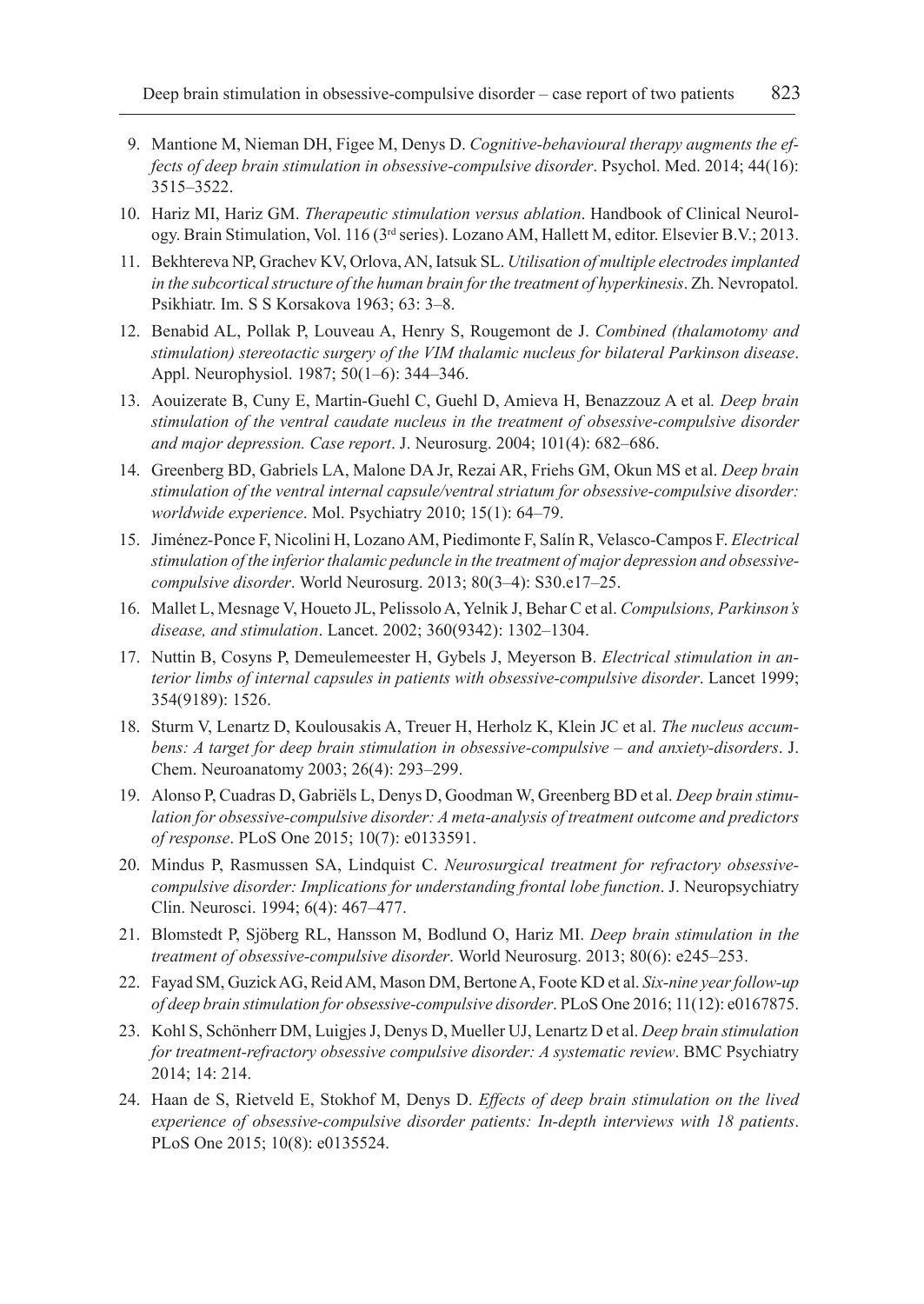- 9. Mantione M, Nieman DH, Figee M, Denys D. *Cognitive-behavioural therapy augments the effects of deep brain stimulation in obsessive-compulsive disorder*. Psychol. Med. 2014; 44(16): 3515–3522.
- 10. Hariz MI, Hariz GM. *Therapeutic stimulation versus ablation*. Handbook of Clinical Neurology. Brain Stimulation, Vol. 116 (3rd series). Lozano AM, Hallett M, editor. Elsevier B.V.; 2013.
- 11. Bekhtereva NP, Grachev KV, Orlova, AN, Iatsuk SL. *Utilisation of multiple electrodes implanted in the subcortical structure of the human brain for the treatment of hyperkinesis*. Zh. Nevropatol. Psikhiatr. Im. S S Korsakova 1963; 63: 3–8.
- 12. Benabid AL, Pollak P, Louveau A, Henry S, Rougemont de J. *Combined (thalamotomy and stimulation) stereotactic surgery of the VIM thalamic nucleus for bilateral Parkinson disease*. Appl. Neurophysiol. 1987; 50(1–6): 344–346.
- 13. Aouizerate B, Cuny E, Martin-Guehl C, Guehl D, Amieva H, Benazzouz A et al*. Deep brain stimulation of the ventral caudate nucleus in the treatment of obsessive-compulsive disorder and major depression. Case report*. J. Neurosurg. 2004; 101(4): 682–686.
- 14. Greenberg BD, Gabriels LA, Malone DA Jr, Rezai AR, Friehs GM, Okun MS et al. *Deep brain stimulation of the ventral internal capsule/ventral striatum for obsessive-compulsive disorder: worldwide experience*. Mol. Psychiatry 2010; 15(1): 64–79.
- 15. Jiménez-Ponce F, Nicolini H, Lozano AM, Piedimonte F, Salín R, Velasco-Campos F. *Electrical stimulation of the inferior thalamic peduncle in the treatment of major depression and obsessivecompulsive disorder*. World Neurosurg. 2013; 80(3–4): S30.e17–25.
- 16. Mallet L, Mesnage V, Houeto JL, Pelissolo A, Yelnik J, Behar C et al. *Compulsions, Parkinson's disease, and stimulation*. Lancet. 2002; 360(9342): 1302–1304.
- 17. Nuttin B, Cosyns P, Demeulemeester H, Gybels J, Meyerson B. *Electrical stimulation in anterior limbs of internal capsules in patients with obsessive-compulsive disorder*. Lancet 1999; 354(9189): 1526.
- 18. Sturm V, Lenartz D, Koulousakis A, Treuer H, Herholz K, Klein JC et al. *The nucleus accumbens: A target for deep brain stimulation in obsessive-compulsive – and anxiety-disorders*. J. Chem. Neuroanatomy 2003; 26(4): 293–299.
- 19. Alonso P, Cuadras D, Gabriëls L, Denys D, Goodman W, Greenberg BD et al. *Deep brain stimulation for obsessive-compulsive disorder: A meta-analysis of treatment outcome and predictors of response*. PLoS One 2015; 10(7): e0133591.
- 20. Mindus P, Rasmussen SA, Lindquist C. *Neurosurgical treatment for refractory obsessivecompulsive disorder: Implications for understanding frontal lobe function*. J. Neuropsychiatry Clin. Neurosci. 1994; 6(4): 467–477.
- 21. Blomstedt P, Sjöberg RL, Hansson M, Bodlund O, Hariz MI. *Deep brain stimulation in the treatment of obsessive-compulsive disorder*. World Neurosurg. 2013; 80(6): e245–253.
- 22. Fayad SM, Guzick AG, Reid AM, Mason DM, Bertone A, Foote KD et al. *Six-nine year follow-up of deep brain stimulation for obsessive-compulsive disorder*. PLoS One 2016; 11(12): e0167875.
- 23. Kohl S, Schönherr DM, Luigjes J, Denys D, Mueller UJ, Lenartz D et al. *Deep brain stimulation for treatment-refractory obsessive compulsive disorder: A systematic review*. BMC Psychiatry 2014; 14: 214.
- 24. Haan de S, Rietveld E, Stokhof M, Denys D. *Effects of deep brain stimulation on the lived experience of obsessive-compulsive disorder patients: In-depth interviews with 18 patients*. PLoS One 2015; 10(8): e0135524.